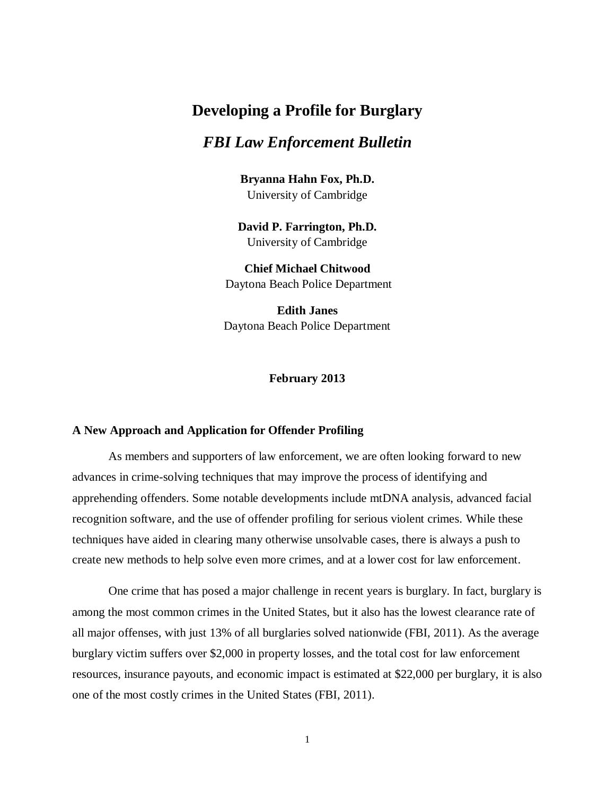# **Developing a Profile for Burglary**

## *FBI Law Enforcement Bulletin*

**Bryanna Hahn Fox, Ph.D.** University of Cambridge

**David P. Farrington, Ph.D.** University of Cambridge

**Chief Michael Chitwood** Daytona Beach Police Department

**Edith Janes** Daytona Beach Police Department

**February 2013**

## **A New Approach and Application for Offender Profiling**

As members and supporters of law enforcement, we are often looking forward to new advances in crime-solving techniques that may improve the process of identifying and apprehending offenders. Some notable developments include mtDNA analysis, advanced facial recognition software, and the use of offender profiling for serious violent crimes. While these techniques have aided in clearing many otherwise unsolvable cases, there is always a push to create new methods to help solve even more crimes, and at a lower cost for law enforcement.

One crime that has posed a major challenge in recent years is burglary. In fact, burglary is among the most common crimes in the United States, but it also has the lowest clearance rate of all major offenses, with just 13% of all burglaries solved nationwide (FBI, 2011). As the average burglary victim suffers over \$2,000 in property losses, and the total cost for law enforcement resources, insurance payouts, and economic impact is estimated at \$22,000 per burglary, it is also one of the most costly crimes in the United States (FBI, 2011).

1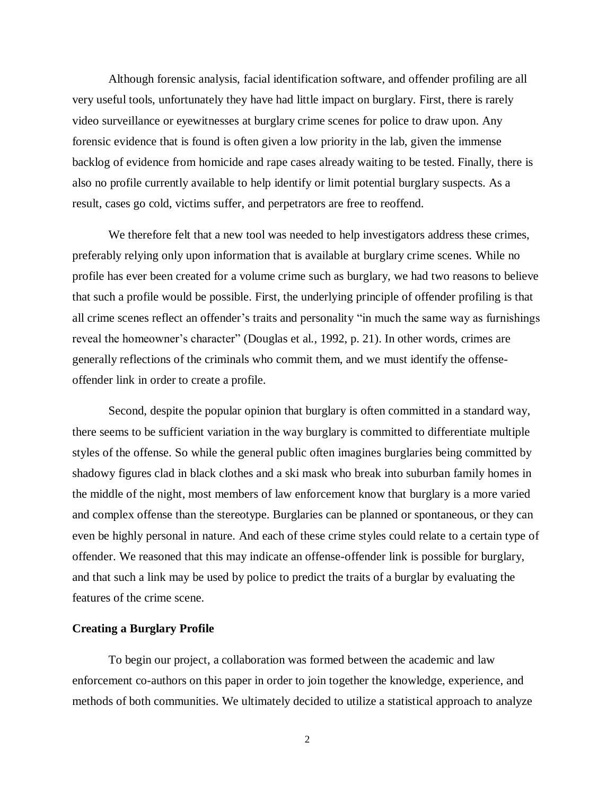Although forensic analysis, facial identification software, and offender profiling are all very useful tools, unfortunately they have had little impact on burglary. First, there is rarely video surveillance or eyewitnesses at burglary crime scenes for police to draw upon. Any forensic evidence that is found is often given a low priority in the lab, given the immense backlog of evidence from homicide and rape cases already waiting to be tested. Finally, there is also no profile currently available to help identify or limit potential burglary suspects. As a result, cases go cold, victims suffer, and perpetrators are free to reoffend.

We therefore felt that a new tool was needed to help investigators address these crimes, preferably relying only upon information that is available at burglary crime scenes. While no profile has ever been created for a volume crime such as burglary, we had two reasons to believe that such a profile would be possible. First, the underlying principle of offender profiling is that all crime scenes reflect an offender's traits and personality "in much the same way as furnishings reveal the homeowner's character" (Douglas et al., 1992, p. 21). In other words, crimes are generally reflections of the criminals who commit them, and we must identify the offenseoffender link in order to create a profile.

Second, despite the popular opinion that burglary is often committed in a standard way, there seems to be sufficient variation in the way burglary is committed to differentiate multiple styles of the offense. So while the general public often imagines burglaries being committed by shadowy figures clad in black clothes and a ski mask who break into suburban family homes in the middle of the night, most members of law enforcement know that burglary is a more varied and complex offense than the stereotype. Burglaries can be planned or spontaneous, or they can even be highly personal in nature. And each of these crime styles could relate to a certain type of offender. We reasoned that this may indicate an offense-offender link is possible for burglary, and that such a link may be used by police to predict the traits of a burglar by evaluating the features of the crime scene.

## **Creating a Burglary Profile**

To begin our project, a collaboration was formed between the academic and law enforcement co-authors on this paper in order to join together the knowledge, experience, and methods of both communities. We ultimately decided to utilize a statistical approach to analyze

2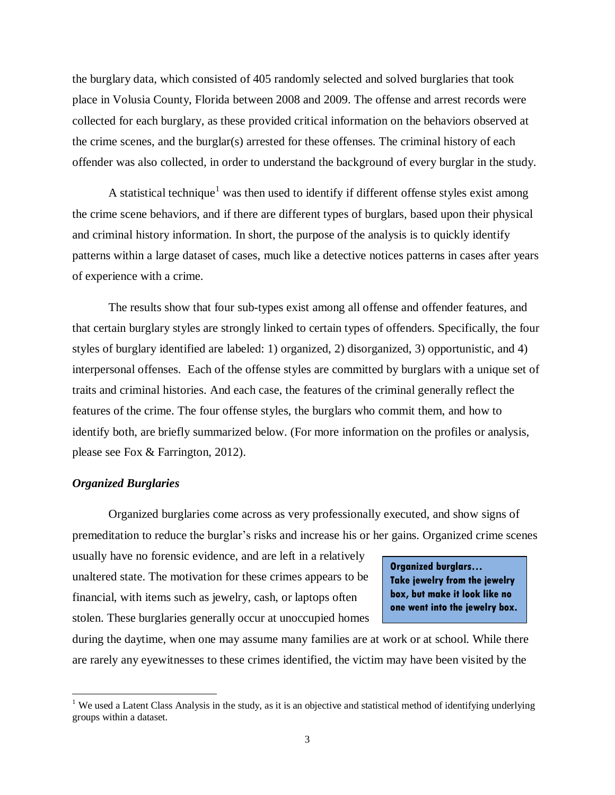the burglary data, which consisted of 405 randomly selected and solved burglaries that took place in Volusia County, Florida between 2008 and 2009. The offense and arrest records were collected for each burglary, as these provided critical information on the behaviors observed at the crime scenes, and the burglar(s) arrested for these offenses. The criminal history of each offender was also collected, in order to understand the background of every burglar in the study.

A statistical technique<sup>1</sup> was then used to identify if different offense styles exist among the crime scene behaviors, and if there are different types of burglars, based upon their physical and criminal history information. In short, the purpose of the analysis is to quickly identify patterns within a large dataset of cases, much like a detective notices patterns in cases after years of experience with a crime.

The results show that four sub-types exist among all offense and offender features, and that certain burglary styles are strongly linked to certain types of offenders. Specifically, the four styles of burglary identified are labeled: 1) organized, 2) disorganized, 3) opportunistic, and 4) interpersonal offenses. Each of the offense styles are committed by burglars with a unique set of traits and criminal histories. And each case, the features of the criminal generally reflect the features of the crime. The four offense styles, the burglars who commit them, and how to identify both, are briefly summarized below. (For more information on the profiles or analysis, please see Fox & Farrington, 2012).

### *Organized Burglaries*

 $\overline{a}$ 

Organized burglaries come across as very professionally executed, and show signs of premeditation to reduce the burglar's risks and increase his or her gains. Organized crime scenes

usually have no forensic evidence, and are left in a relatively unaltered state. The motivation for these crimes appears to be financial, with items such as jewelry, cash, or laptops often stolen. These burglaries generally occur at unoccupied homes

**Organized burglars… Take jewelry from the jewelry box, but make it look like no one went into the jewelry box.**

during the daytime, when one may assume many families are at work or at school. While there are rarely any eyewitnesses to these crimes identified, the victim may have been visited by the

<sup>&</sup>lt;sup>1</sup> We used a Latent Class Analysis in the study, as it is an objective and statistical method of identifying underlying groups within a dataset.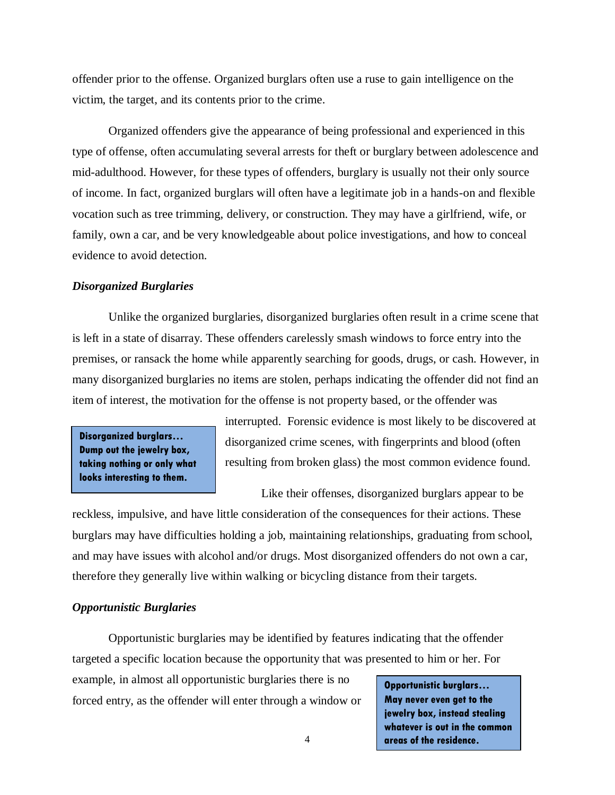offender prior to the offense. Organized burglars often use a ruse to gain intelligence on the victim, the target, and its contents prior to the crime.

Organized offenders give the appearance of being professional and experienced in this type of offense, often accumulating several arrests for theft or burglary between adolescence and mid-adulthood. However, for these types of offenders, burglary is usually not their only source of income. In fact, organized burglars will often have a legitimate job in a hands-on and flexible vocation such as tree trimming, delivery, or construction. They may have a girlfriend, wife, or family, own a car, and be very knowledgeable about police investigations, and how to conceal evidence to avoid detection.

## *Disorganized Burglaries*

Unlike the organized burglaries, disorganized burglaries often result in a crime scene that is left in a state of disarray. These offenders carelessly smash windows to force entry into the premises, or ransack the home while apparently searching for goods, drugs, or cash. However, in many disorganized burglaries no items are stolen, perhaps indicating the offender did not find an item of interest, the motivation for the offense is not property based, or the offender was

**Disorganized burglars… Dump out the jewelry box, taking nothing or only what looks interesting to them.**

interrupted. Forensic evidence is most likely to be discovered at disorganized crime scenes, with fingerprints and blood (often resulting from broken glass) the most common evidence found.

Like their offenses, disorganized burglars appear to be

reckless, impulsive, and have little consideration of the consequences for their actions. These burglars may have difficulties holding a job, maintaining relationships, graduating from school, and may have issues with alcohol and/or drugs. Most disorganized offenders do not own a car, therefore they generally live within walking or bicycling distance from their targets.

## *Opportunistic Burglaries*

Opportunistic burglaries may be identified by features indicating that the offender targeted a specific location because the opportunity that was presented to him or her. For

example, in almost all opportunistic burglaries there is no forced entry, as the offender will enter through a window or

**Opportunistic burglars… May never even get to the jewelry box, instead stealing whatever is out in the common areas of the residence.**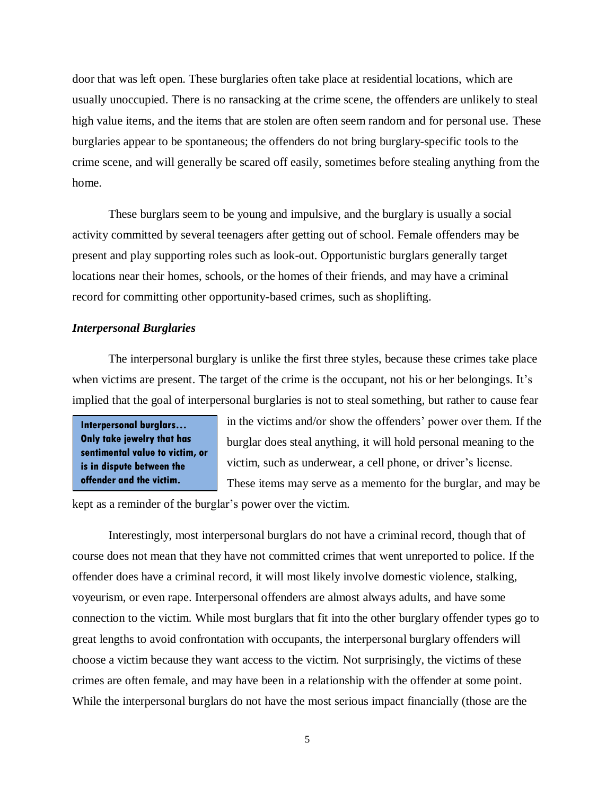door that was left open. These burglaries often take place at residential locations, which are usually unoccupied. There is no ransacking at the crime scene, the offenders are unlikely to steal high value items, and the items that are stolen are often seem random and for personal use. These burglaries appear to be spontaneous; the offenders do not bring burglary-specific tools to the crime scene, and will generally be scared off easily, sometimes before stealing anything from the home.

These burglars seem to be young and impulsive, and the burglary is usually a social activity committed by several teenagers after getting out of school. Female offenders may be present and play supporting roles such as look-out. Opportunistic burglars generally target locations near their homes, schools, or the homes of their friends, and may have a criminal record for committing other opportunity-based crimes, such as shoplifting.

#### *Interpersonal Burglaries*

The interpersonal burglary is unlike the first three styles, because these crimes take place when victims are present. The target of the crime is the occupant, not his or her belongings. It's implied that the goal of interpersonal burglaries is not to steal something, but rather to cause fear

**Interpersonal burglars… Only take jewelry that has sentimental value to victim, or is in dispute between the offender and the victim.**

in the victims and/or show the offenders' power over them. If the burglar does steal anything, it will hold personal meaning to the victim, such as underwear, a cell phone, or driver's license. These items may serve as a memento for the burglar, and may be

kept as a reminder of the burglar's power over the victim.

Interestingly, most interpersonal burglars do not have a criminal record, though that of course does not mean that they have not committed crimes that went unreported to police. If the offender does have a criminal record, it will most likely involve domestic violence, stalking, voyeurism, or even rape. Interpersonal offenders are almost always adults, and have some connection to the victim. While most burglars that fit into the other burglary offender types go to great lengths to avoid confrontation with occupants, the interpersonal burglary offenders will choose a victim because they want access to the victim. Not surprisingly, the victims of these crimes are often female, and may have been in a relationship with the offender at some point. While the interpersonal burglars do not have the most serious impact financially (those are the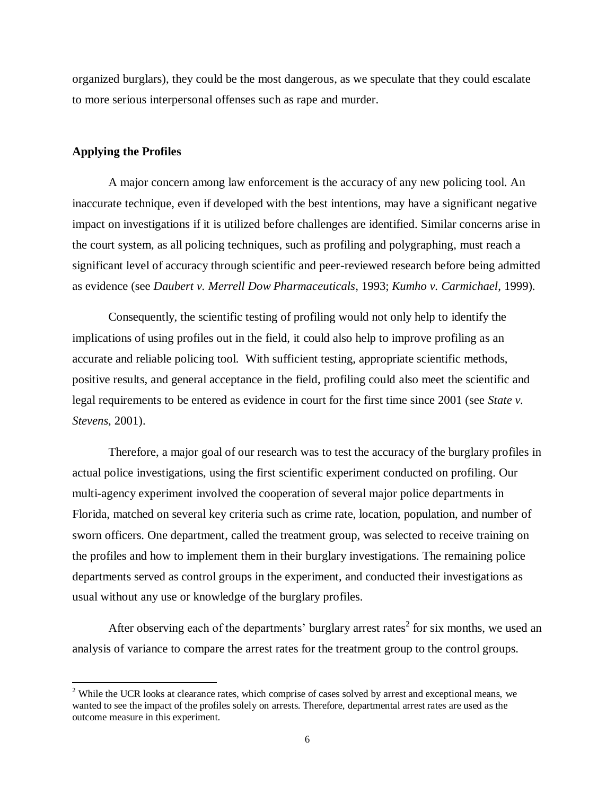organized burglars), they could be the most dangerous, as we speculate that they could escalate to more serious interpersonal offenses such as rape and murder.

## **Applying the Profiles**

 $\overline{a}$ 

A major concern among law enforcement is the accuracy of any new policing tool. An inaccurate technique, even if developed with the best intentions, may have a significant negative impact on investigations if it is utilized before challenges are identified. Similar concerns arise in the court system, as all policing techniques, such as profiling and polygraphing, must reach a significant level of accuracy through scientific and peer-reviewed research before being admitted as evidence (see *Daubert v. Merrell Dow Pharmaceuticals*, 1993; *Kumho v. Carmichael*, 1999).

Consequently, the scientific testing of profiling would not only help to identify the implications of using profiles out in the field, it could also help to improve profiling as an accurate and reliable policing tool. With sufficient testing, appropriate scientific methods, positive results, and general acceptance in the field, profiling could also meet the scientific and legal requirements to be entered as evidence in court for the first time since 2001 (see *State v. Stevens*, 2001).

Therefore, a major goal of our research was to test the accuracy of the burglary profiles in actual police investigations, using the first scientific experiment conducted on profiling. Our multi-agency experiment involved the cooperation of several major police departments in Florida, matched on several key criteria such as crime rate, location, population, and number of sworn officers. One department, called the treatment group, was selected to receive training on the profiles and how to implement them in their burglary investigations. The remaining police departments served as control groups in the experiment, and conducted their investigations as usual without any use or knowledge of the burglary profiles.

After observing each of the departments' burglary arrest rates<sup>2</sup> for six months, we used an analysis of variance to compare the arrest rates for the treatment group to the control groups.

<sup>&</sup>lt;sup>2</sup> While the UCR looks at clearance rates, which comprise of cases solved by arrest and exceptional means, we wanted to see the impact of the profiles solely on arrests. Therefore, departmental arrest rates are used as the outcome measure in this experiment.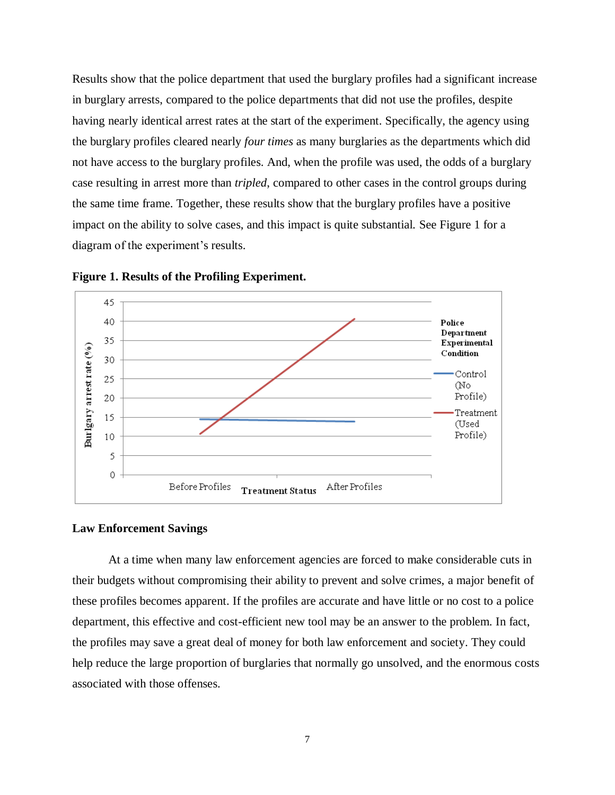Results show that the police department that used the burglary profiles had a significant increase in burglary arrests, compared to the police departments that did not use the profiles, despite having nearly identical arrest rates at the start of the experiment. Specifically, the agency using the burglary profiles cleared nearly *four times* as many burglaries as the departments which did not have access to the burglary profiles. And, when the profile was used, the odds of a burglary case resulting in arrest more than *tripled*, compared to other cases in the control groups during the same time frame. Together, these results show that the burglary profiles have a positive impact on the ability to solve cases, and this impact is quite substantial. See Figure 1 for a diagram of the experiment's results.



**Figure 1. Results of the Profiling Experiment.**

#### **Law Enforcement Savings**

At a time when many law enforcement agencies are forced to make considerable cuts in their budgets without compromising their ability to prevent and solve crimes, a major benefit of these profiles becomes apparent. If the profiles are accurate and have little or no cost to a police department, this effective and cost-efficient new tool may be an answer to the problem. In fact, the profiles may save a great deal of money for both law enforcement and society. They could help reduce the large proportion of burglaries that normally go unsolved, and the enormous costs associated with those offenses.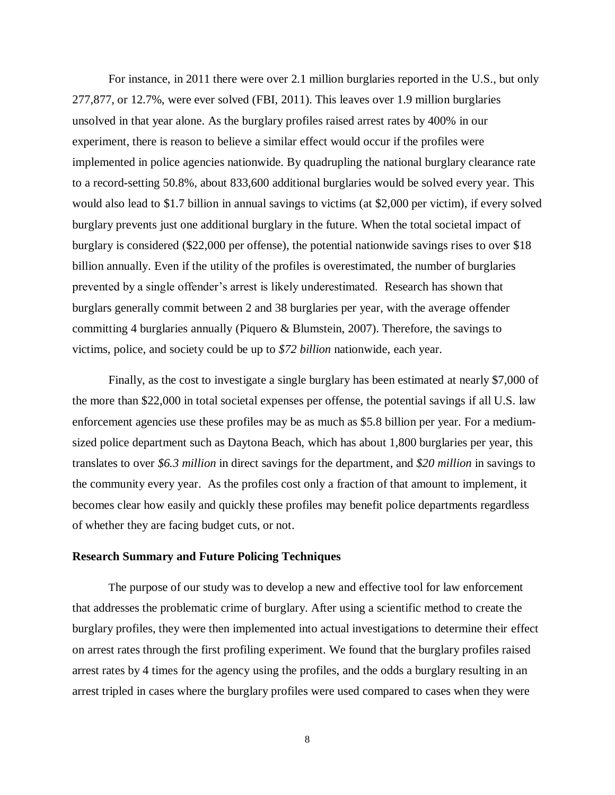For instance, in 2011 there were over 2.1 million burglaries reported in the U.S., but only 277,877, or 12.7%, were ever solved (FBI, 2011). This leaves over 1.9 million burglaries unsolved in that year alone. As the burglary profiles raised arrest rates by 400% in our experiment, there is reason to believe a similar effect would occur if the profiles were implemented in police agencies nationwide. By quadrupling the national burglary clearance rate to a record-setting 50.8%, about 833,600 additional burglaries would be solved every year. This would also lead to \$1.7 billion in annual savings to victims (at \$2,000 per victim), if every solved burglary prevents just one additional burglary in the future. When the total societal impact of burglary is considered (\$22,000 per offense), the potential nationwide savings rises to over \$18 billion annually. Even if the utility of the profiles is overestimated, the number of burglaries prevented by a single offender's arrest is likely underestimated. Research has shown that burglars generally commit between 2 and 38 burglaries per year, with the average offender committing 4 burglaries annually (Piquero  $\&$  Blumstein, 2007). Therefore, the savings to victims, police, and society could be up to *\$72 billion* nationwide, each year.

Finally, as the cost to investigate a single burglary has been estimated at nearly \$7,000 of the more than \$22,000 in total societal expenses per offense, the potential savings if all U.S. law enforcement agencies use these profiles may be as much as \$5.8 billion per year. For a mediumsized police department such as Daytona Beach, which has about 1,800 burglaries per year, this translates to over *\$6.3 million* in direct savings for the department, and *\$20 million* in savings to the community every year. As the profiles cost only a fraction of that amount to implement, it becomes clear how easily and quickly these profiles may benefit police departments regardless of whether they are facing budget cuts, or not.

### **Research Summary and Future Policing Techniques**

The purpose of our study was to develop a new and effective tool for law enforcement that addresses the problematic crime of burglary. After using a scientific method to create the burglary profiles, they were then implemented into actual investigations to determine their effect on arrest rates through the first profiling experiment. We found that the burglary profiles raised arrest rates by 4 times for the agency using the profiles, and the odds a burglary resulting in an arrest tripled in cases where the burglary profiles were used compared to cases when they were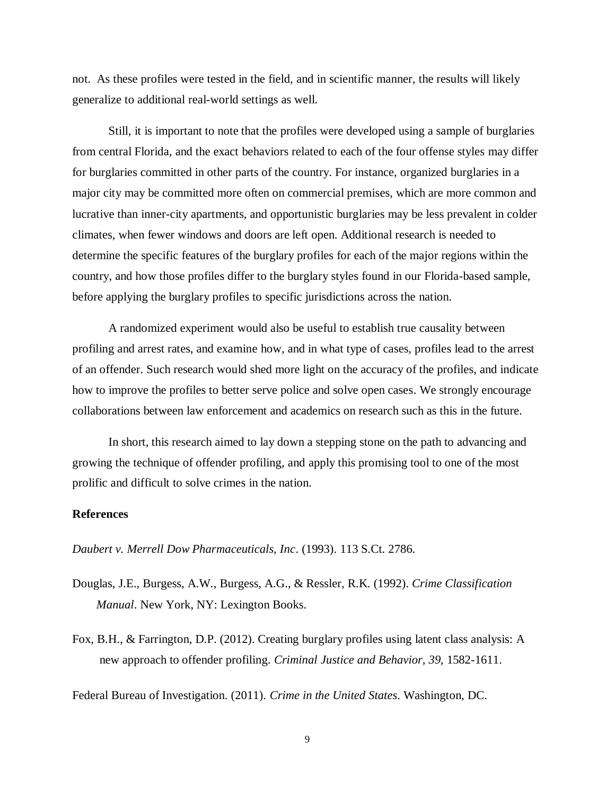not. As these profiles were tested in the field, and in scientific manner, the results will likely generalize to additional real-world settings as well.

Still, it is important to note that the profiles were developed using a sample of burglaries from central Florida, and the exact behaviors related to each of the four offense styles may differ for burglaries committed in other parts of the country. For instance, organized burglaries in a major city may be committed more often on commercial premises, which are more common and lucrative than inner-city apartments, and opportunistic burglaries may be less prevalent in colder climates, when fewer windows and doors are left open. Additional research is needed to determine the specific features of the burglary profiles for each of the major regions within the country, and how those profiles differ to the burglary styles found in our Florida-based sample, before applying the burglary profiles to specific jurisdictions across the nation.

A randomized experiment would also be useful to establish true causality between profiling and arrest rates, and examine how, and in what type of cases, profiles lead to the arrest of an offender. Such research would shed more light on the accuracy of the profiles, and indicate how to improve the profiles to better serve police and solve open cases. We strongly encourage collaborations between law enforcement and academics on research such as this in the future.

In short, this research aimed to lay down a stepping stone on the path to advancing and growing the technique of offender profiling, and apply this promising tool to one of the most prolific and difficult to solve crimes in the nation.

#### **References**

*Daubert v. Merrell Dow Pharmaceuticals, Inc*. (1993). 113 S.Ct. 2786.

- Douglas, J.E., Burgess, A.W., Burgess, A.G., & Ressler, R.K. (1992). *Crime Classification Manual*. New York, NY: Lexington Books.
- Fox, B.H., & Farrington, D.P. (2012). Creating burglary profiles using latent class analysis: A new approach to offender profiling. *Criminal Justice and Behavior, 39,* 1582-1611.

Federal Bureau of Investigation. (2011). *Crime in the United States*. Washington, DC.